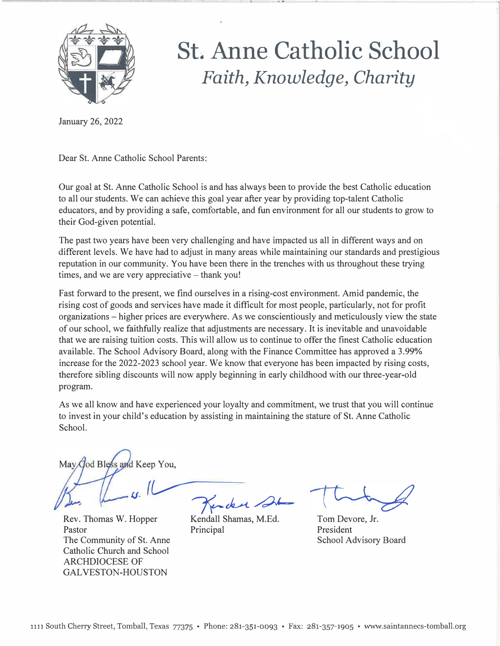

# *St. Anne Catholic School Faith, Knowledge, Charity*

January 26, 2022

Dear St. Anne Catholic School Parents:

Our goal at St. Anne Catholic School is and has always been to provide the best Catholic education to all our students. We can achieve this goal year after year by providing top-talent Catholic educators, and by providing a safe, comfortable, and fun environment for all our students to grow to their God-given potential.

The past two years have been very challenging and have impacted us all in different ways and on different levels. We have had to adjust in many areas while maintaining our standards and prestigious reputation in our community. You have been there in the trenches with us throughout these trying times, and we are very appreciative  $-$  thank you!

Fast forward to the present, we find ourselves in a rising-cost environment. Amid pandemic, the rising cost of goods and services have made it difficult for most people, particularly, not for profit organizations - higher prices are everywhere. As we conscientiously and meticulously view the state of our school, we faithfully realize that adjustments are necessary. It is inevitable and unavoidable that we are raising tuition costs. This will allow us to continue to offer the finest Catholic education available. The School Advisory Board, along with the Finance Committee has approved a 3.99% increase for the 2022-2023 school year. We know that everyone has been impacted by rising costs, therefore sibling discounts will now apply beginning in early childhood with our three-year-old program.

As we all know and have experienced your loyalty and commitment, we trust that you will continue to invest in your child's education by assisting in maintaining the stature of St. Anne Catholic School.

May God Bless and Keep You.

Rev. Thomas W. Hopper Pastor Principal The Community of St. Anne Catholic Church and School ARCHDIOCESE OF GALVESTON-HOUSTON

 $\frac{1}{\pi}$  Trader 21

Kendall Shamas, M.Ed.

Tom Devore, Jr. President School Advisory Board